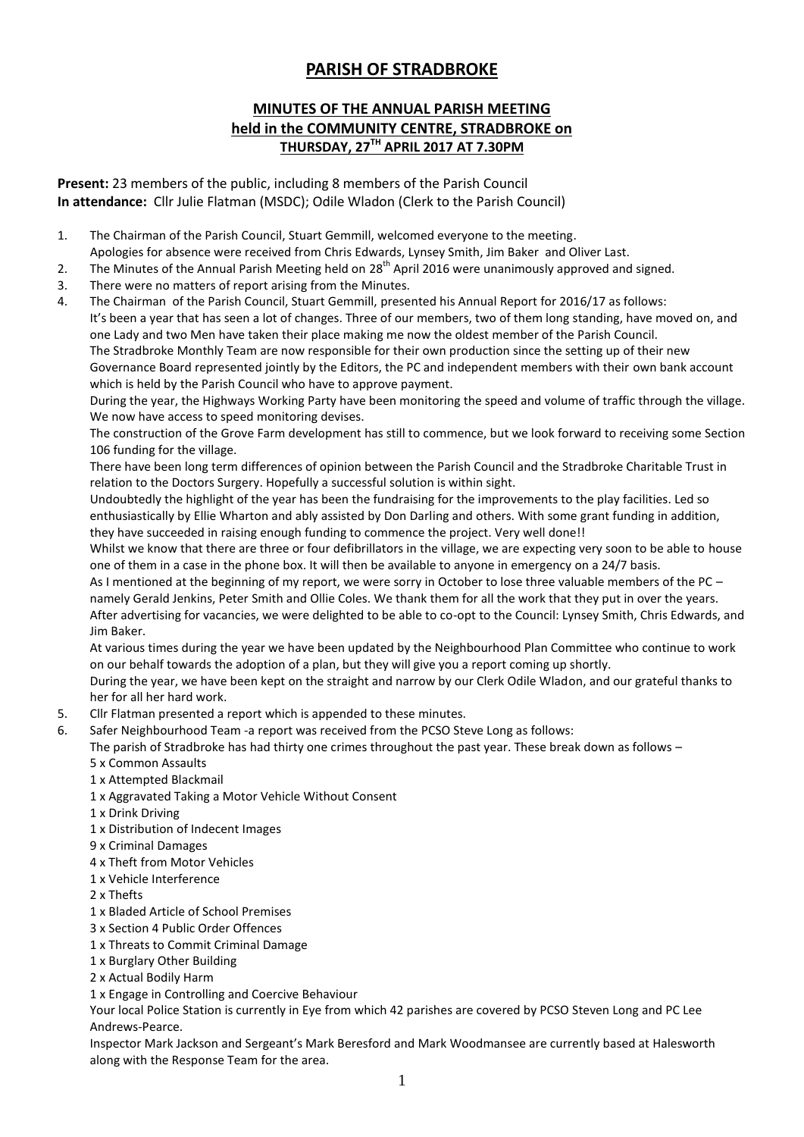## **PARISH OF STRADBROKE**

## **MINUTES OF THE ANNUAL PARISH MEETING held in the COMMUNITY CENTRE, STRADBROKE on THURSDAY, 27 TH APRIL 2017 AT 7.30PM**

**Present:** 23 members of the public, including 8 members of the Parish Council **In attendance:** Cllr Julie Flatman (MSDC); Odile Wladon (Clerk to the Parish Council)

- 1. The Chairman of the Parish Council, Stuart Gemmill, welcomed everyone to the meeting. Apologies for absence were received from Chris Edwards, Lynsey Smith, Jim Baker and Oliver Last.
- 2. The Minutes of the Annual Parish Meeting held on 28<sup>th</sup> April 2016 were unanimously approved and signed.
- 3. There were no matters of report arising from the Minutes.
- 4. The Chairman of the Parish Council, Stuart Gemmill, presented his Annual Report for 2016/17 as follows: It's been a year that has seen a lot of changes. Three of our members, two of them long standing, have moved on, and one Lady and two Men have taken their place making me now the oldest member of the Parish Council. The Stradbroke Monthly Team are now responsible for their own production since the setting up of their new Governance Board represented jointly by the Editors, the PC and independent members with their own bank account which is held by the Parish Council who have to approve payment.

During the year, the Highways Working Party have been monitoring the speed and volume of traffic through the village. We now have access to speed monitoring devises.

The construction of the Grove Farm development has still to commence, but we look forward to receiving some Section 106 funding for the village.

There have been long term differences of opinion between the Parish Council and the Stradbroke Charitable Trust in relation to the Doctors Surgery. Hopefully a successful solution is within sight.

Undoubtedly the highlight of the year has been the fundraising for the improvements to the play facilities. Led so enthusiastically by Ellie Wharton and ably assisted by Don Darling and others. With some grant funding in addition, they have succeeded in raising enough funding to commence the project. Very well done!!

Whilst we know that there are three or four defibrillators in the village, we are expecting very soon to be able to house one of them in a case in the phone box. It will then be available to anyone in emergency on a 24/7 basis.

As I mentioned at the beginning of my report, we were sorry in October to lose three valuable members of the PC – namely Gerald Jenkins, Peter Smith and Ollie Coles. We thank them for all the work that they put in over the years. After advertising for vacancies, we were delighted to be able to co-opt to the Council: Lynsey Smith, Chris Edwards, and Jim Baker.

At various times during the year we have been updated by the Neighbourhood Plan Committee who continue to work on our behalf towards the adoption of a plan, but they will give you a report coming up shortly.

During the year, we have been kept on the straight and narrow by our Clerk Odile Wladon, and our grateful thanks to her for all her hard work.

- 5. Cllr Flatman presented a report which is appended to these minutes.
- 6. Safer Neighbourhood Team -a report was received from the PCSO Steve Long as follows:

The parish of Stradbroke has had thirty one crimes throughout the past year. These break down as follows –

- 5 x Common Assaults
- 1 x Attempted Blackmail
- 1 x Aggravated Taking a Motor Vehicle Without Consent
- 1 x Drink Driving
- 1 x Distribution of Indecent Images
- 9 x Criminal Damages
- 4 x Theft from Motor Vehicles
- 1 x Vehicle Interference
- 2 x Thefts
- 1 x Bladed Article of School Premises
- 3 x Section 4 Public Order Offences
- 1 x Threats to Commit Criminal Damage
- 1 x Burglary Other Building
- 2 x Actual Bodily Harm

1 x Engage in Controlling and Coercive Behaviour

Your local Police Station is currently in Eye from which 42 parishes are covered by PCSO Steven Long and PC Lee Andrews-Pearce.

Inspector Mark Jackson and Sergeant's Mark Beresford and Mark Woodmansee are currently based at Halesworth along with the Response Team for the area.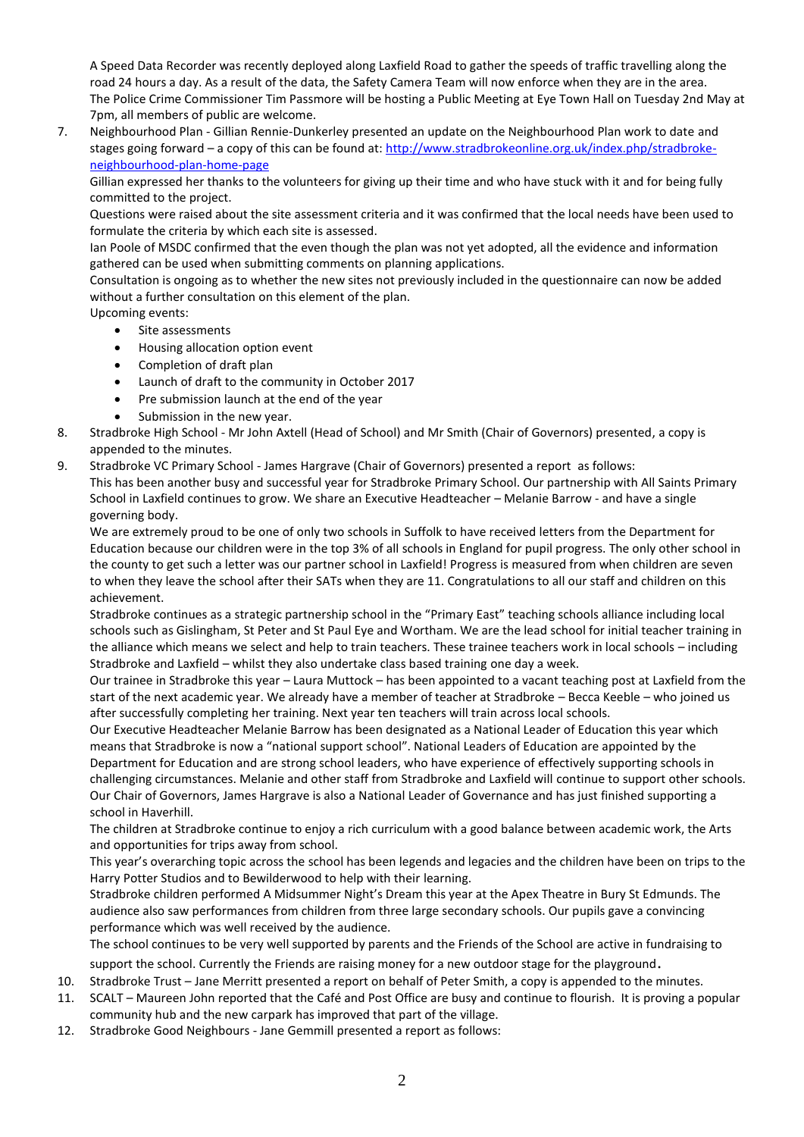A Speed Data Recorder was recently deployed along Laxfield Road to gather the speeds of traffic travelling along the road 24 hours a day. As a result of the data, the Safety Camera Team will now enforce when they are in the area. The Police Crime Commissioner Tim Passmore will be hosting a Public Meeting at Eye Town Hall on Tuesday 2nd May at 7pm, all members of public are welcome.

7. Neighbourhood Plan - Gillian Rennie-Dunkerley presented an update on the Neighbourhood Plan work to date and stages going forward – a copy of this can be found at[: http://www.stradbrokeonline.org.uk/index.php/stradbroke](http://www.stradbrokeonline.org.uk/index.php/stradbroke-neighbourhood-plan-home-page)[neighbourhood-plan-home-page](http://www.stradbrokeonline.org.uk/index.php/stradbroke-neighbourhood-plan-home-page)

Gillian expressed her thanks to the volunteers for giving up their time and who have stuck with it and for being fully committed to the project.

Questions were raised about the site assessment criteria and it was confirmed that the local needs have been used to formulate the criteria by which each site is assessed.

Ian Poole of MSDC confirmed that the even though the plan was not yet adopted, all the evidence and information gathered can be used when submitting comments on planning applications.

Consultation is ongoing as to whether the new sites not previously included in the questionnaire can now be added without a further consultation on this element of the plan.

Upcoming events:

- Site assessments
- Housing allocation option event
- Completion of draft plan
- Launch of draft to the community in October 2017
- Pre submission launch at the end of the year
- Submission in the new year.
- 8. Stradbroke High School Mr John Axtell (Head of School) and Mr Smith (Chair of Governors) presented, a copy is appended to the minutes.
- 9. Stradbroke VC Primary School James Hargrave (Chair of Governors) presented a report as follows: This has been another busy and successful year for Stradbroke Primary School. Our partnership with All Saints Primary School in Laxfield continues to grow. We share an Executive Headteacher – Melanie Barrow - and have a single governing body.

We are extremely proud to be one of only two schools in Suffolk to have received letters from the Department for Education because our children were in the top 3% of all schools in England for pupil progress. The only other school in the county to get such a letter was our partner school in Laxfield! Progress is measured from when children are seven to when they leave the school after their SATs when they are 11. Congratulations to all our staff and children on this achievement.

Stradbroke continues as a strategic partnership school in the "Primary East" teaching schools alliance including local schools such as Gislingham, St Peter and St Paul Eye and Wortham. We are the lead school for initial teacher training in the alliance which means we select and help to train teachers. These trainee teachers work in local schools – including Stradbroke and Laxfield – whilst they also undertake class based training one day a week.

Our trainee in Stradbroke this year – Laura Muttock – has been appointed to a vacant teaching post at Laxfield from the start of the next academic year. We already have a member of teacher at Stradbroke – Becca Keeble – who joined us after successfully completing her training. Next year ten teachers will train across local schools.

Our Executive Headteacher Melanie Barrow has been designated as a National Leader of Education this year which means that Stradbroke is now a "national support school". National Leaders of Education are appointed by the Department for Education and are strong school leaders, who have experience of effectively supporting schools in challenging circumstances. Melanie and other staff from Stradbroke and Laxfield will continue to support other schools. Our Chair of Governors, James Hargrave is also a National Leader of Governance and has just finished supporting a school in Haverhill.

The children at Stradbroke continue to enjoy a rich curriculum with a good balance between academic work, the Arts and opportunities for trips away from school.

This year's overarching topic across the school has been legends and legacies and the children have been on trips to the Harry Potter Studios and to Bewilderwood to help with their learning.

Stradbroke children performed A Midsummer Night's Dream this year at the Apex Theatre in Bury St Edmunds. The audience also saw performances from children from three large secondary schools. Our pupils gave a convincing performance which was well received by the audience.

The school continues to be very well supported by parents and the Friends of the School are active in fundraising to support the school. Currently the Friends are raising money for a new outdoor stage for the playground.

- 10. Stradbroke Trust Jane Merritt presented a report on behalf of Peter Smith, a copy is appended to the minutes.
- 11. SCALT Maureen John reported that the Café and Post Office are busy and continue to flourish. It is proving a popular community hub and the new carpark has improved that part of the village.
- 12. Stradbroke Good Neighbours Jane Gemmill presented a report as follows: